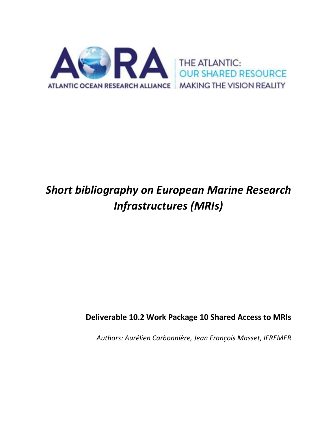

# *Short bibliography on European Marine Research Infrastructures (MRIs)*

# **Deliverable 10.2 Work Package 10 Shared Access to MRIs**

*Authors: Aurélien Carbonnière, Jean François Masset, IFREMER*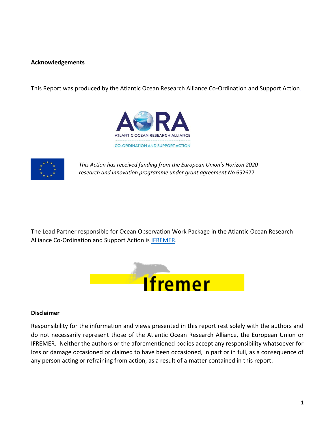# **Acknowledgements**

This Report was produced by the Atlantic Ocean Research Alliance Co-Ordination and Support Action.





*This Action has received funding from the European Union's Horizon 2020 research and innovation programme under grant agreement No* 652677*.*

The Lead Partner responsible for Ocean Observation Work Package in the Atlantic Ocean Research Alliance Co-Ordination and Support Action is [IFREMER.](http://wwz.ifremer.fr/institut_eng/)



## **Disclaimer**

Responsibility for the information and views presented in this report rest solely with the authors and do not necessarily represent those of the Atlantic Ocean Research Alliance, the European Union or IFREMER. Neither the authors or the aforementioned bodies accept any responsibility whatsoever for loss or damage occasioned or claimed to have been occasioned, in part or in full, as a consequence of any person acting or refraining from action, as a result of a matter contained in this report.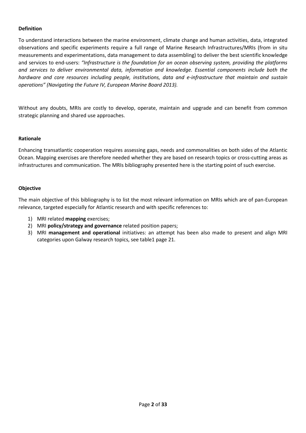# **Definition**

To understand interactions between the marine environment, climate change and human activities, data, integrated observations and specific experiments require a full range of Marine Research Infrastructures/MRIs (from in situ measurements and experimentations, data management to data assembling) to deliver the best scientific knowledge and services to end-users: *"Infrastructure is the foundation for an ocean observing system, providing the platforms and services to deliver environmental data, information and knowledge. Essential components include both the hardware and core resources including people, institutions, data and e-infrastructure that maintain and sustain operations" (Navigating the Future IV, European Marine Board 2013).*

Without any doubts, MRIs are costly to develop, operate, maintain and upgrade and can benefit from common strategic planning and shared use approaches.

# **Rationale**

Enhancing transatlantic cooperation requires assessing gaps, needs and commonalities on both sides of the Atlantic Ocean. Mapping exercises are therefore needed whether they are based on research topics or cross-cutting areas as infrastructures and communication. The MRIs bibliography presented here is the starting point of such exercise.

# **Objective**

The main objective of this bibliography is to list the most relevant information on MRIs which are of pan-European relevance, targeted especially for Atlantic research and with specific references to:

- 1) MRI related **mapping** exercises;
- 2) MRI **policy/strategy and governance** related position papers;
- 3) MRI **management and operational** initiatives: an attempt has been also made to present and align MRI categories upon Galway research topics, see table1 page 21.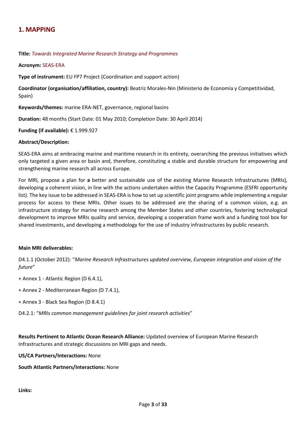# **1. MAPPING**

#### **Title:** *Towards Integrated Marine Research Strategy and Programmes*

#### **Acronym:** SEAS-ERA

**Type of instrument:** EU FP7 Project (Coordination and support action)

**Coordinator (organisation/affiliation, country):** Beatriz Morales-Nin (Ministerio de Economía y Competitividad, Spain)

**Keywords/themes:** marine ERA-NET, governance, regional basins

**Duration:** 48 months (Start Date: 01 May 2010; Completion Date: 30 April 2014)

**Funding (if available):** € 1.999.927

#### **Abstract/Description:**

SEAS-ERA aims at embracing marine and maritime research in its entirety, overarching the previous initiatives which only targeted a given area or basin and, therefore, constituting a stable and durable structure for empowering and strengthening marine research all across Europe.

For MRI, propose a plan for **a** better and sustainable use of the existing Marine Research Infrastructures (MRIs), developing a coherent vision, in line with the actions undertaken within the Capacity Programme (ESFRI opportunity list). The key issue to be addressed in SEAS-ERA is how to set up scientific joint programs while implementing a regular process for access to these MRIs. Other issues to be addressed are the sharing of a common vision, e.g. an infrastructure strategy for marine research among the Member States and other countries, fostering technological development to improve MRIs quality and service, developing a cooperation frame work and a funding tool box for shared investments, and developing a methodology for the use of industry infrastructures by public research.

#### **Main MRI deliverables:**

D4.1.1 (October 2012): "*Marine Research Infrastructures updated overview, European integration and vision of the future*"

- + Annex 1 Atlantic Region (D 6.4.1),
- + Annex 2 Mediterranean Region (D 7.4.1),
- + Annex 3 Black Sea Region (D 8.4.1)
- D4.2.1: "*MRIs common management guidelines for joint research activities*"

**Results Pertinent to Atlantic Ocean Research Alliance:** Updated overview of European Marine Research Infrastructures and strategic discussions on MRI gaps and needs.

#### **US/CA Partners/Interactions:** None

#### **South Atlantic Partners/Interactions:** None

**Links:**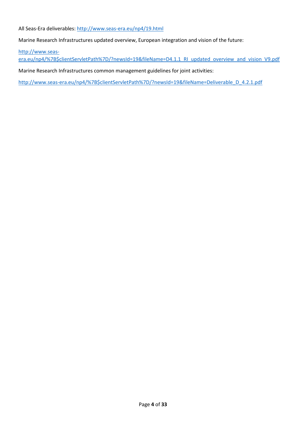All Seas-Era deliverables[: http://www.seas-era.eu/np4/19.html](http://www.seas-era.eu/np4/19.html)

Marine Research Infrastructures updated overview, European integration and vision of the future:

[http://www.seas-](http://www.seas-era.eu/np4/%7B$clientServletPath%7D/?newsId=19&fileName=D4.1.1_RI_updated_overview_and_vision_V9.pdf)

[era.eu/np4/%7B\\$clientServletPath%7D/?newsId=19&fileName=D4.1.1\\_RI\\_updated\\_overview\\_and\\_vision\\_V9.pdf](http://www.seas-era.eu/np4/%7B$clientServletPath%7D/?newsId=19&fileName=D4.1.1_RI_updated_overview_and_vision_V9.pdf)

Marine Research Infrastructures common management guidelines for joint activities:

[http://www.seas-era.eu/np4/%7B\\$clientServletPath%7D/?newsId=19&fileName=Deliverable\\_D\\_4.2.1.pdf](http://www.seas-era.eu/np4/%7B$clientServletPath%7D/?newsId=19&fileName=Deliverable_D_4.2.1.pdf)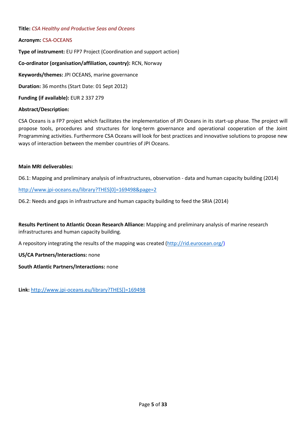## **Title:** *CSA Healthy and Productive Seas and Oceans*

# **Acronym:** CSA-OCEANS

**Type of instrument:** EU FP7 Project (Coordination and support action) **Co-ordinator (organisation/affiliation, country):** RCN, Norway **Keywords/themes:** JPI OCEANS, marine governance **Duration:** 36 months (Start Date: 01 Sept 2012) **Funding (if available):** EUR 2 337 279

# **Abstract/Description:**

CSA Oceans is a FP7 project which facilitates the implementation of JPI Oceans in its start-up phase. The project will propose tools, procedures and structures for long-term governance and operational cooperation of the Joint Programming activities. Furthermore CSA Oceans will look for best practices and innovative solutions to propose new ways of interaction between the member countries of JPI Oceans.

## **Main MRI deliverables:**

D6.1: Mapping and preliminary analysis of infrastructures, observation - data and human capacity building (2014)

[http://www.jpi-oceans.eu/library?THES\[0\]=169498&page=2](http://www.jpi-oceans.eu/library?THES%5b0%5d=169498&page=2)

D6.2: Needs and gaps in infrastructure and human capacity building to feed the SRIA (2014)

**Results Pertinent to Atlantic Ocean Research Alliance:** Mapping and preliminary analysis of marine research infrastructures and human capacity building.

A repository integrating the results of the mapping was created [\(http://rid.eurocean.org/\)](http://rid.eurocean.org/)

**US/CA Partners/Interactions:** none

**South Atlantic Partners/Interactions:** none

**Link:** [http://www.jpi-oceans.eu/library?THES\[\]=169498](http://www.jpi-oceans.eu/library?THES%5b%5d=169498)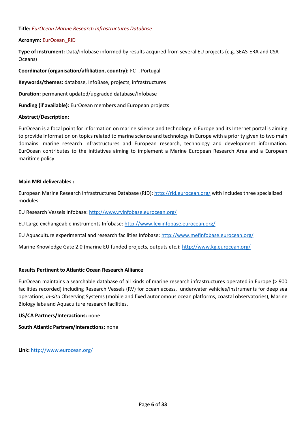# **Title:** *EurOcean Marine Research Infrastructures Database*

# **Acronym:** EurOcean\_RID

**Type of instrument:** Data/infobase informed by results acquired from several EU projects (e.g. SEAS-ERA and CSA Oceans)

**Coordinator (organisation/affiliation, country):** FCT, Portugal

**Keywords/themes:** database, InfoBase, projects, infrastructures

**Duration:** permanent updated/upgraded database/Infobase

**Funding (if available):** EurOcean members and European projects

## **Abstract/Description:**

EurOcean is a focal point for information on marine science and technology in Europe and its Internet portal is aiming to provide information on topics related to marine science and technology in Europe with a priority given to two main domains: marine research infrastructures and European research, technology and development information. EurOcean contributes to the initiatives aiming to implement a Marine European Research Area and a European maritime policy.

## **Main MRI deliverables :**

European Marine Research Infrastructures Database (RID):<http://rid.eurocean.org/> with includes three specialized modules:

EU Research Vessels Infobase:<http://www.rvinfobase.eurocean.org/>

EU Large exchangeable instruments Infobase:<http://www.lexiinfobase.eurocean.org/>

EU Aquaculture experimental and research facilities Infobase:<http://www.mefinfobase.eurocean.org/>

Marine Knowledge Gate 2.0 (marine EU funded projects, outputs etc.):<http://www.kg.eurocean.org/>

## **Results Pertinent to Atlantic Ocean Research Alliance**

EurOcean maintains a searchable database of all kinds of marine research infrastructures operated in Europe (> 900 facilities recorded) including Research Vessels (RV) for ocean access, underwater vehicles/instruments for deep sea operations, *in-situ* Observing Systems (mobile and fixed autonomous ocean platforms, coastal observatories), Marine Biology labs and Aquaculture research facilities.

## **US/CA Partners/Interactions:** none

**South Atlantic Partners/Interactions:** none

**Link:** <http://www.eurocean.org/>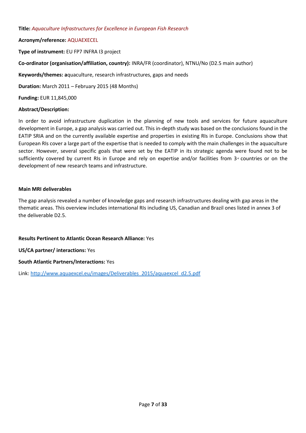# **Title:** *Aquaculture Infrastructures for Excellence in European Fish Research*

# **Acronym/reference:** AQUAEXECEL

**Type of instrument:** EU FP7 INFRA I3 project

**Co-ordinator (organisation/affiliation, country):** INRA/FR (coordinator), NTNU/No (D2.5 main author)

**Keywords/themes: a**quaculture, research infrastructures, gaps and needs

**Duration:** March 2011 – February 2015 (48 Months)

**Funding:** EUR 11,845,000

# **Abstract/Description:**

In order to avoid infrastructure duplication in the planning of new tools and services for future aquaculture development in Europe, a gap analysis was carried out. This in-depth study was based on the conclusions found in the EATIP SRIA and on the currently available expertise and properties in existing RIs in Europe. Conclusions show that European RIs cover a large part of the expertise that is needed to comply with the main challenges in the aquaculture sector. However, several specific goals that were set by the EATIP in its strategic agenda were found not to be sufficiently covered by current RIs in Europe and rely on expertise and/or facilities from  $3<sup>d</sup>$  countries or on the development of new research teams and infrastructure.

# **Main MRI deliverables**

The gap analysis revealed a number of knowledge gaps and research infrastructures dealing with gap areas in the thematic areas. This overview includes international RIs including US, Canadian and Brazil ones listed in annex 3 of the deliverable D2.5.

# **Results Pertinent to Atlantic Ocean Research Alliance:** Yes

**US/CA partner/ interactions:** Yes

# **South Atlantic Partners/Interactions:** Yes

Link: [http://www.aquaexcel.eu/images/Deliverables\\_2015/aquaexcel\\_d2.5.pdf](http://www.marineboard.eu/navigating-future-0)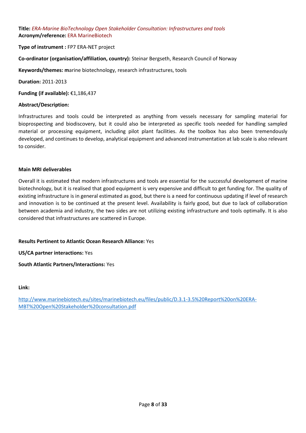**Title:** *ERA-Marine BioTechnology Open Stakeholder Consultation: Infrastructures and tools* **Acronym/reference:** ERA MarineBiotech

**Type of instrument :** FP7 ERA-NET project

**Co-ordinator (organisation/affiliation, country):** Steinar Bergseth, Research Council of Norway

**Keywords/themes: m**arine biotechnology, research infrastructures, tools

**Duration:** 2011-2013

**Funding (if available):** €1,186,437

#### **Abstract/Description:**

Infrastructures and tools could be interpreted as anything from vessels necessary for sampling material for bioprospecting and biodiscovery, but it could also be interpreted as specific tools needed for handling sampled material or processing equipment, including pilot plant facilities. As the toolbox has also been tremendously developed, and continues to develop, analytical equipment and advanced instrumentation at lab scale is also relevant to consider.

#### **Main MRI deliverables**

Overall it is estimated that modern infrastructures and tools are essential for the successful development of marine biotechnology, but it is realised that good equipment is very expensive and difficult to get funding for. The quality of existing infrastructure is in general estimated as good, but there is a need for continuous updating if level of research and innovation is to be continued at the present level. Availability is fairly good, but due to lack of collaboration between academia and industry, the two sides are not utilizing existing infrastructure and tools optimally. It is also considered that infrastructures are scattered in Europe.

## **Results Pertinent to Atlantic Ocean Research Alliance:** Yes

**US/CA partner interactions:** Yes

**South Atlantic Partners/Interactions:** Yes

#### **Link:**

[http://www.marinebiotech.eu/sites/marinebiotech.eu/files/public/D.3.1-3.5%20Report%20on%20ERA-](http://www.marinebiotech.eu/sites/marinebiotech.eu/files/public/D.3.1-3.5%20Report%20on%20ERA-MBT%20Open%20Stakeholder%20consultation.pdf)[MBT%20Open%20Stakeholder%20consultation.pdf](http://www.marinebiotech.eu/sites/marinebiotech.eu/files/public/D.3.1-3.5%20Report%20on%20ERA-MBT%20Open%20Stakeholder%20consultation.pdf)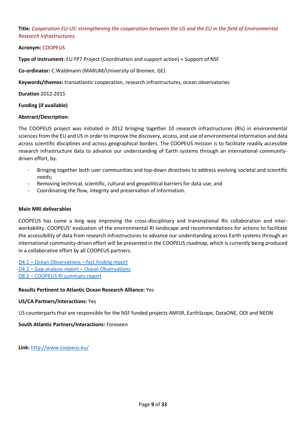**Title:** *Cooperation EU-US: strengthening the cooperation between the US and the EU in the field of Environmental Research Infrastructures.*

# **Acronym:** COOPEUS

**Type of instrument:** EU FP7 Project (Coordination and support action) + Support of NSF

**Co-ordinator:** C.Waldmann (MARUM/University of Bremen, GE)

**Keywords/themes:** transatlantic cooperation, research infrastructures, ocean observatories

**Duration** 2012-2015

**Funding (if available)**

## **Abstract/Description:**

The COOPEUS project was initiated in 2012 bringing together 10 research infrastructures (RIs) in environmental sciences from the EU and US in order to improve the discovery, access, and use of environmental information and data across scientific disciplines and across geographical borders. The COOPEUS mission is to facilitate readily accessible research infrastructure data to advance our understanding of Earth systems through an international communitydriven effort, by:

- Bringing together both user communities and top-down directives to address evolving societal and scientific needs;
- Removing technical, scientific, cultural and geopolitical barriers for data use; and
- Coordinating the flow, integrity and preservation of information.

# **Main MRI deliverables**

COOPEUS has come a long way improving the cross-disciplinary and transnational RIs collaboration and interworkability. COOPEUS' evaluation of the environmental RI landscape and recommendations for actions to facilitate the accessibility of data from research infrastructures to advance our understanding across Earth systems through an international community-driven effort will be presented in the COOPEUS roadmap, which is currently being produced in a collaborative effort by all COOPEUS partners.

D4.1 – [Ocean Observations](http://www.coopeus.eu/wp-content/uploads/2013/04/D4-1.COOPEUS-Facts_Finding_10_03.pdf) – fact finding report D4.2 – Gap analysis report – [Ocean Observations](http://www.coopeus.eu/wp-content/uploads/2013/01/Gap-analysis-report-Ocean-Observations-prepared-by-INGV.pdf) D8.2 – [COOPEUS RI summary report](http://www.coopeus.eu/wp-content/uploads/2013/01/D8.2-COOPEUS-RI-summary-report-prepared-by-FMI.pdf)

## **Results Pertinent to Atlantic Ocean Research Alliance:** Yes

## **US/CA Partners/Interactions:** Yes

US counterparts that are responsible for the NSF funded projects AMISR, EarthScope, DataONE, OOI and NEON

## **South Atlantic Partners/Interactions:** Foreseen

**Link:** <http://www.coopeus.eu/>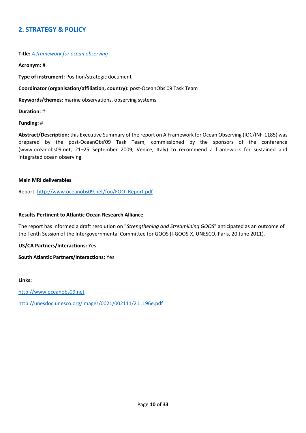# **2. STRATEGY & POLICY**

## **Title:** *A framework for ocean observing*

**Acronym:** #

**Type of instrument:** Position/strategic document

**Coordinator (organisation/affiliation, country):** post-OceanObs'09 Task Team

**Keywords/themes:** marine observations, observing systems

**Duration:** #

**Funding:** #

**Abstract/Description:** this Executive Summary of the report on A Framework for Ocean Observing (IOC/INF-1185) was prepared by the post-OceanObs'09 Task Team, commissioned by the sponsors of the conference (www.oceanobs09.net, 21–25 September 2009, Venice, Italy) to recommend a framework for sustained and integrated ocean observing.

#### **Main MRI deliverables**

Report: [http://www.oceanobs09.net/foo/FOO\\_Report.pdf](http://www.oceanobs09.net/foo/FOO_Report.pdf)

#### **Results Pertinent to Atlantic Ocean Research Alliance**

The report has informed a draft resolution on "*Strengthening and Streamlining GOOS*" anticipated as an outcome of the Tenth Session of the Intergovernmental Committee for GOOS (I-GOOS-X, UNESCO, Paris, 20 June 2011).

**US/CA Partners/Interactions:** Yes

**South Atlantic Partners/Interactions:** Yes

**Links:** 

[http://www.oceanobs09.net](http://www.oceanobs09.net/)

<http://unesdoc.unesco.org/images/0021/002111/211196e.pdf>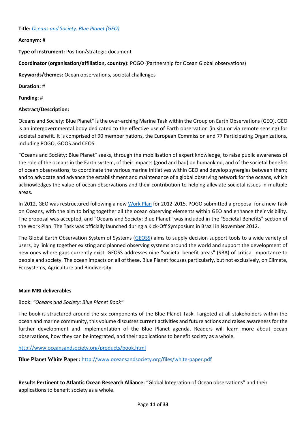## **Title:** *Oceans and Society: Blue Planet (GEO)*

# **Acronym:** #

**Type of instrument:** Position/strategic document

**Coordinator (organisation/affiliation, country):** POGO (Partnership for Ocean Global observations)

**Keywords/themes:** Ocean observations, societal challenges

**Duration:** #

**Funding:** #

# **Abstract/Description:**

Oceans and Society: Blue Planet" is the over-arching Marine Task within the Group on Earth Observations (GEO). GEO is an intergovernmental body dedicated to the effective use of Earth observation (in situ or via remote sensing) for societal benefit. It is comprised of 90 member nations, the European Commission and 77 Participating Organizations, including POGO, GOOS and CEOS.

"Oceans and Society: Blue Planet" seeks, through the mobilisation of expert knowledge, to raise public awareness of the role of the oceans in the Earth system, of their impacts (good and bad) on humankind, and of the societal benefits of ocean observations; to coordinate the various marine initiatives within GEO and develop synergies between them; and to advocate and advance the establishment and maintenance of a global observing network for the oceans, which acknowledges the value of ocean observations and their contribution to helping alleviate societal issues in multiple areas.

In 2012, GEO was restructured following a new [Work Plan](http://www.earthobservations.org/geoss_imp.php) for 2012-2015. POGO submitted a proposal for a new Task on Oceans, with the aim to bring together all the ocean observing elements within GEO and enhance their visibility. The proposal was accepted, and "Oceans and Society: Blue Planet" was included in the "Societal Benefits" section of the Work Plan. The Task was officially launched during a Kick-Off Symposium in Brazil in November 2012.

The Global Earth Observation System of Systems [\(GEOSS\)](http://www.earthobservations.org/geoss.shtml) aims to supply decision support tools to a wide variety of users, by linking together existing and planned observing systems around the world and support the development of new ones where gaps currently exist. GEOSS addresses nine "societal benefit areas" (SBA) of critical importance to people and society. The ocean impacts on all of these. Blue Planet focuses particularly, but not exclusively, on Climate, Ecosystems, Agriculture and Biodiversity.

## **Main MRI deliverables**

# Book: *"Oceans and Society: Blue Planet Book"*

The book is structured around the six components of the Blue Planet Task. Targeted at all stakeholders within the ocean and marine community, this volume discusses current activities and future actions and raises awareness for the further development and implementation of the Blue Planet agenda. Readers will learn more about ocean observations, how they can be integrated, and their applications to benefit society as a whole.

<http://www.oceansandsociety.org/products/book.html>

**Blue Planet White Paper:** <http://www.oceansandsociety.org/files/white-paper.pdf>

**Results Pertinent to Atlantic Ocean Research Alliance:** "Global Integration of Ocean observations" and their applications to benefit society as a whole.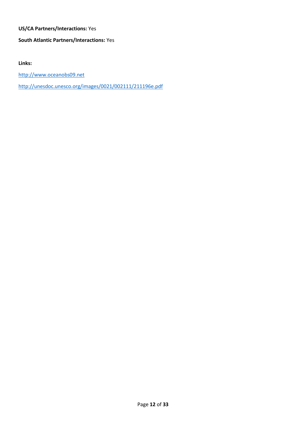# **US/CA Partners/Interactions:** Yes

# **South Atlantic Partners/Interactions:** Yes

**Links:** 

[http://www.oceanobs09.net](http://www.oceanobs09.net/)

<http://unesdoc.unesco.org/images/0021/002111/211196e.pdf>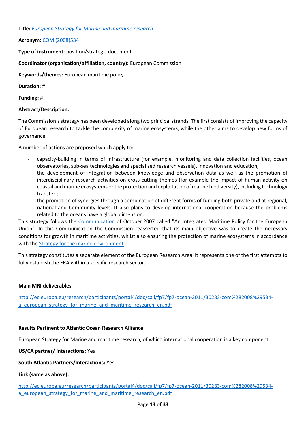**Title:** *European Strategy for Marine and maritime research*

**Acronym:** COM (2008)534

**Type of instrument**: position/strategic document

**Coordinator (organisation/affiliation, country):** European Commission

**Keywords/themes:** European maritime policy

**Duration:** #

**Funding:** #

# **Abstract/Description:**

The Commission's strategy has been developed along two principal strands. The first consists of improving the capacity of European research to tackle the complexity of marine ecosystems, while the other aims to develop new forms of governance.

A number of actions are proposed which apply to:

- capacity-building in terms of infrastructure (for example, monitoring and data collection facilities, ocean observatories, sub-sea technologies and specialised research vessels), innovation and education;
- the development of integration between knowledge and observation data as well as the promotion of interdisciplinary research activities on cross-cutting themes (for example the impact of human activity on coastal and marine ecosystems or the protection and exploitation of marine biodiversity), including technology transfer ;
- the promotion of synergies through a combination of different forms of funding both private and at regional, national and Community levels. It also plans to develop international cooperation because the problems related to the oceans have a global dimension.

This strategy follows the [Communication](http://eur-lex.europa.eu/legal-content/EN/AUTO/?uri=uriserv:l66049) of October 2007 called "An Integrated Maritime Policy for the European Union". In this Communication the Commission reasserted that its main objective was to create the necessary conditions for growth in maritime activities, whilst also ensuring the protection of marine ecosystems in accordance with the [Strategy for the marine environment.](http://eur-lex.europa.eu/legal-content/EN/AUTO/?uri=uriserv:l28164)

This strategy constitutes a separate element of the European Research Area. It represents one of the first attempts to fully establish the ERA within a specific research sector.

## **Main MRI deliverables**

[http://ec.europa.eu/research/participants/portal4/doc/call/fp7/fp7-ocean-2011/30283-com%282008%29534](http://ec.europa.eu/research/participants/portal4/doc/call/fp7/fp7-ocean-2011/30283-com%282008%29534-a_european_strategy_for_marine_and_maritime_research_en.pdf) a european strategy for marine and maritime research en.pdf

## **Results Pertinent to Atlantic Ocean Research Alliance**

European Strategy for Marine and maritime research, of which international cooperation is a key component

**US/CA partner/ interactions:** Yes

# **South Atlantic Partners/Interactions:** Yes

## **Link (same as above):**

[http://ec.europa.eu/research/participants/portal4/doc/call/fp7/fp7-ocean-2011/30283-com%282008%29534](http://ec.europa.eu/research/participants/portal4/doc/call/fp7/fp7-ocean-2011/30283-com%282008%29534-a_european_strategy_for_marine_and_maritime_research_en.pdf) a european strategy for marine and maritime research en.pdf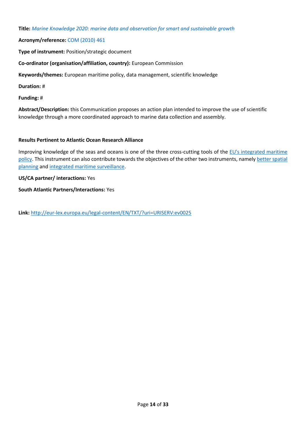**Title:** *Marine Knowledge 2020: marine data and observation for smart and sustainable growth*

# **Acronym/reference:** COM (2010) 461

**Type of instrument:** Position/strategic document

**Co-ordinator (organisation/affiliation, country):** European Commission

**Keywords/themes:** European maritime policy, data management, scientific knowledge

**Duration:** #

**Funding:** #

**Abstract/Description:** this Communication proposes an action plan intended to improve the use of scientific knowledge through a more coordinated approach to marine data collection and assembly.

# **Results Pertinent to Atlantic Ocean Research Alliance**

Improving knowledge of the seas and oceans is one of the three cross-cutting tools of the EU's integrated maritime [policy.](http://eur-lex.europa.eu/legal-content/EN/AUTO/?uri=uriserv:l66049) This instrument can also contribute towards the objectives of the other two instruments, namely better spatial [planning](http://eur-lex.europa.eu/legal-content/EN/AUTO/?uri=celex:52008DC0791) and [integrated maritime surveillance.](http://eur-lex.europa.eu/legal-content/EN/AUTO/?uri=uriserv:pe0011)

# **US/CA partner/ interactions:** Yes

**South Atlantic Partners/Interactions:** Yes

**Link:** <http://eur-lex.europa.eu/legal-content/EN/TXT/?uri=URISERV:ev0025>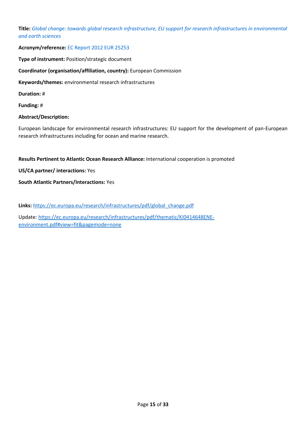**Title:** *Global change: towards global research infrastructure, EU support for research infrastructures in environmental and earth sciences* 

# **Acronym/reference:** EC Report 2012 EUR 25253

**Type of instrument:** Position/strategic document

**Coordinator (organisation/affiliation, country):** European Commission

**Keywords/themes:** environmental research infrastructures

**Duration:** #

**Funding:** #

# **Abstract/Description:**

European landscape for environmental research infrastructures: EU support for the development of pan-European research infrastructures including for ocean and marine research.

**Results Pertinent to Atlantic Ocean Research Alliance:** International cooperation is promoted

**US/CA partner/ interactions:** Yes

**South Atlantic Partners/Interactions:** Yes

Links: [https://ec.europa.eu/research/infrastructures/pdf/global\\_change.pdf](https://ec.europa.eu/research/infrastructures/pdf/global_change.pdf)

Update[: https://ec.europa.eu/research/infrastructures/pdf/thematic/KI0414648ENE](https://ec.europa.eu/research/infrastructures/pdf/thematic/KI0414648ENE-environment.pdf#view=fit&pagemode=none)[environment.pdf#view=fit&pagemode=none](https://ec.europa.eu/research/infrastructures/pdf/thematic/KI0414648ENE-environment.pdf#view=fit&pagemode=none)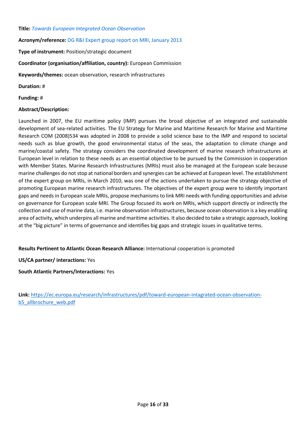## **Title:** *Towards European Integrated Ocean Observation*

# **Acronym/reference:** DG R&I Expert group report on MRI, January 2013

**Type of instrument:** Position/strategic document

# **Coordinator (organisation/affiliation, country):** European Commission

**Keywords/themes:** ocean observation, research infrastructures

**Duration:** #

**Funding:** #

# **Abstract/Description:**

Launched in 2007, the EU maritime policy (IMP) pursues the broad objective of an integrated and sustainable development of sea-related activities. The EU Strategy for Marine and Maritime Research for Marine and Maritime Research COM (2008)534 was adopted in 2008 to provide a solid science base to the IMP and respond to societal needs such as blue growth, the good environmental status of the seas, the adaptation to climate change and marine/coastal safety. The strategy considers the coordinated development of marine research infrastructures at European level in relation to these needs as an essential objective to be pursued by the Commission in cooperation with Member States. Marine Research Infrastructures (MRIs) must also be managed at the European scale because marine challenges do not stop at national borders and synergies can be achieved at European level. The establishment of the expert group on MRIs, in March 2010, was one of the actions undertaken to pursue the strategy objective of promoting European marine research infrastructures. The objectives of the expert group were to identify important gaps and needs in European scale MRIs, propose mechanisms to link MRI needs with funding opportunities and advise on governance for European scale MRI. The Group focused its work on MRIs, which support directly or indirectly the collection and use of marine data, i.e. marine observation infrastructures, because ocean observation is a key enabling area of activity, which underpins all marine and maritime activities. It also decided to take a strategic approach, looking at the "big picture" in terms of governance and identifies big gaps and strategic issues in qualitative terms.

# **Results Pertinent to Atlantic Ocean Research Alliance:** International cooperation is promoted

**US/CA partner/ interactions:** Yes

**South Atlantic Partners/Interactions:** Yes

**Link:** [https://ec.europa.eu/research/infrastructures/pdf/toward-european-intagrated-ocean-observation](https://ec.europa.eu/research/infrastructures/pdf/toward-european-intagrated-ocean-observation-b5_allbrochure_web.pdf)[b5\\_allbrochure\\_web.pdf](https://ec.europa.eu/research/infrastructures/pdf/toward-european-intagrated-ocean-observation-b5_allbrochure_web.pdf)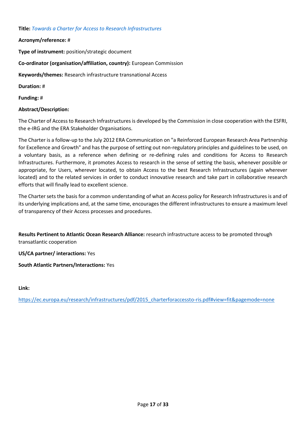# **Title:** *Towards a Charter for Access to Research Infrastructures*

**Acronym/reference:** #

**Type of instrument:** position/strategic document

**Co-ordinator (organisation/affiliation, country):** European Commission

**Keywords/themes:** Research infrastructure transnational Access

**Duration:** #

**Funding:** #

# **Abstract/Description:**

The Charter of Access to Research Infrastructures is developed by the Commission in close cooperation with the ESFRI, the e-IRG and the ERA Stakeholder Organisations.

The Charter is a follow-up to the July 2012 ERA Communication on "a Reinforced European Research Area Partnership for Excellence and Growth" and has the purpose of setting out non-regulatory principles and guidelines to be used, on a voluntary basis, as a reference when defining or re-defining rules and conditions for Access to Research Infrastructures. Furthermore, it promotes Access to research in the sense of setting the basis, whenever possible or appropriate, for Users, wherever located, to obtain Access to the best Research Infrastructures (again wherever located) and to the related services in order to conduct innovative research and take part in collaborative research efforts that will finally lead to excellent science.

The Charter sets the basis for a common understanding of what an Access policy for Research Infrastructures is and of its underlying implications and, at the same time, encourages the different infrastructures to ensure a maximum level of transparency of their Access processes and procedures.

**Results Pertinent to Atlantic Ocean Research Alliance:** research infrastructure access to be promoted through transatlantic cooperation

**US/CA partner/ interactions:** Yes

**South Atlantic Partners/Interactions:** Yes

**Link:** 

[https://ec.europa.eu/research/infrastructures/pdf/2015\\_charterforaccessto-ris.pdf#view=fit&pagemode=none](https://ec.europa.eu/research/infrastructures/pdf/2015_charterforaccessto-ris.pdf#view=fit&pagemode=none)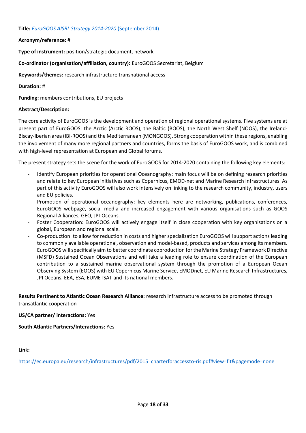# **Title:** *EuroGOOS AISBL Strategy 2014-2020* (September 2014)

# **Acronym/reference:** #

**Type of instrument:** position/strategic document, network

# **Co-ordinator (organisation/affiliation, country):** EuroGOOS Secretariat, Belgium

**Keywords/themes:** research infrastructure transnational access

# **Duration:** #

**Funding:** members contributions, EU projects

# **Abstract/Description:**

The core activity of EuroGOOS is the development and operation of regional operational systems. Five systems are at present part of EuroGOOS: the Arctic (Arctic ROOS), the Baltic (BOOS), the North West Shelf (NOOS), the Ireland-Biscay-Iberian area (IBI-ROOS) and the Mediterranean (MONGOOS). Strong cooperation within these regions, enabling the involvement of many more regional partners and countries, forms the basis of EuroGOOS work, and is combined with high-level representation at European and Global forums.

The present strategy sets the scene for the work of EuroGOOS for 2014-2020 containing the following key elements:

- Identify European priorities for operational Oceanography: main focus will be on defining research priorities and relate to key European initiatives such as Copernicus, EMOD-net and Marine Research Infrastructures. As part of this activity EuroGOOS will also work intensively on linking to the research community, industry, users and EU policies.
- Promotion of operational oceanography: key elements here are networking, publications, conferences, EuroGOOS webpage, social media and increased engagement with various organisations such as GOOS Regional Alliances, GEO, JPI-Oceans.
- Foster Cooperation: EuroGOOS will actively engage itself in close cooperation with key organisations on a global, European and regional scale.
- Co-production: to allow for reduction in costs and higher specialization EuroGOOS will support actions leading to commonly available operational, observation and model-based, products and services among its members. EuroGOOS will specifically aim to better coordinate coproduction for the Marine Strategy Framework Directive (MSFD) Sustained Ocean Observations and will take a leading role to ensure coordination of the European contribution to a sustained marine observational system through the promotion of a European Ocean Observing System (EOOS) with EU Copernicus Marine Service, EMODnet, EU Marine Research Infrastructures, JPI Oceans, EEA, ESA, EUMETSAT and its national members.

**Results Pertinent to Atlantic Ocean Research Alliance:** research infrastructure access to be promoted through transatlantic cooperation

# **US/CA partner/ interactions:** Yes

**South Atlantic Partners/Interactions:** Yes

**Link:** 

[https://ec.europa.eu/research/infrastructures/pdf/2015\\_charterforaccessto-ris.pdf#view=fit&pagemode=none](https://ec.europa.eu/research/infrastructures/pdf/2015_charterforaccessto-ris.pdf#view=fit&pagemode=none)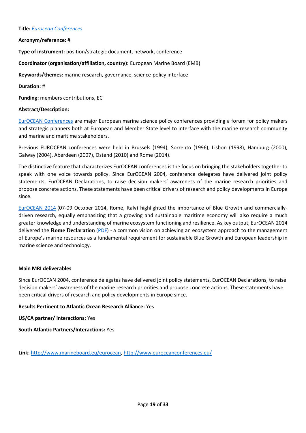#### **Title:** *Eurocean Conferences*

# **Acronym/reference:** #

**Type of instrument:** position/strategic document, network, conference

**Coordinator (organisation/affiliation, country):** European Marine Board (EMB)

**Keywords/themes:** marine research, governance, science-policy interface

## **Duration:** #

**Funding:** members contributions, EC

# **Abstract/Description:**

[EurOCEAN Conferences](http://www.euroceanconferences.eu/) are major European marine science policy conferences providing a forum for policy makers and strategic planners both at European and Member State level to interface with the marine research community and marine and maritime stakeholders.

Previous EUROCEAN conferences were held in Brussels (1994), Sorrento (1996), Lisbon (1998), Hamburg (2000), Galway (2004), Aberdeen (2007), Ostend (2010) and Rome (2014).

The distinctive feature that characterizes EurOCEAN conferences is the focus on bringing the stakeholders together to speak with one voice towards policy. Since EurOCEAN 2004, conference delegates have delivered joint policy statements, EurOCEAN Declarations, to raise decision makers' awareness of the marine research priorities and propose concrete actions. These statements have been critical drivers of research and policy developments in Europe since.

[EurOCEAN 2014](http://www.euroceanconferences.eu/news) (07-09 October 2014, Rome, Italy) highlighted the importance of Blue Growth and commerciallydriven research, equally emphasizing that a growing and sustainable maritime economy will also require a much greater knowledge and understanding of marine ecosystem functioning and resilience. As key output, EurOCEAN 2014 delivered the **Rome Declaration** [\(PDF\)](http://www.marineboard.eu/images/publications/Rome%20Declaration-249.pdf) - a common vision on achieving an ecosystem approach to the management of Europe's marine resources as a fundamental requirement for sustainable Blue Growth and European leadership in marine science and technology.

## **Main MRI deliverables**

Since EurOCEAN 2004, conference delegates have delivered joint policy statements, EurOCEAN Declarations, to raise decision makers' awareness of the marine research priorities and propose concrete actions. These statements have been critical drivers of research and policy developments in Europe since.

## **Results Pertinent to Atlantic Ocean Research Alliance:** Yes

**US/CA partner/ interactions:** Yes

**South Atlantic Partners/Interactions:** Yes

**Link**: [http://www.marineboard.eu/eurocean,](http://www.marineboard.eu/eurocean)<http://www.euroceanconferences.eu/>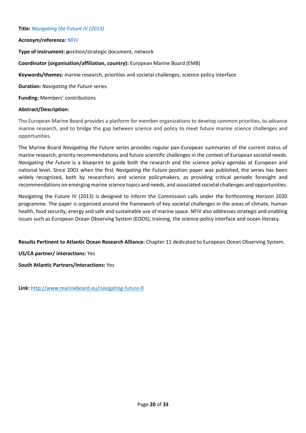# **Title:** *Navigating the Future IV (2013)*

# **Acronym/reference:** NFIV

**Type of instrument: p**osition/strategic document, network

**Coordinator (organisation/affiliation, country):** European Marine Board (EMB)

**Keywords/themes:** marine research, priorities and societal challenges, science-policy interface

**Duration:** *Navigating the Future* series

**Funding:** Members' contributions

# **Abstract/Description:**

The European Marine Board provides a platform for member organizations to develop common priorities, to advance marine research, and to bridge the gap between science and policy to meet future marine science challenges and opportunities.

The Marine Board *Navigating the Future* series provides regular pan-European summaries of the current status of marine research, priority recommendations and future scientific challenges in the context of European societal needs. *Navigating the Future* is a blueprint to guide both the research and the science policy agendas at European and national level. Since 2001 when the first *Navigating the Future* position paper was published, the series has been widely recognized, both by researchers and science policymakers, as providing critical periodic foresight and recommendations on emerging marine science topics and needs, and associated societal challenges and opportunities.

Navigating the Future IV (2013) is designed to inform the Commission calls under the forthcoming Horizon 2020 programme. The paper is organized around the framework of key societal challenges in the areas of climate, human health, food security, energy and safe and sustainable use of marine space. NFIV also addresses strategic and enabling issues such as European Ocean Observing System (EOOS), training, the science-policy interface and ocean literacy.

**Results Pertinent to Atlantic Ocean Research Alliance:** Chapter 11 dedicated to European Ocean Observing System.

**US/CA partner/ interactions:** Yes

**South Atlantic Partners/Interactions:** Yes

**Link:** <http://www.marineboard.eu/navigating-future-0>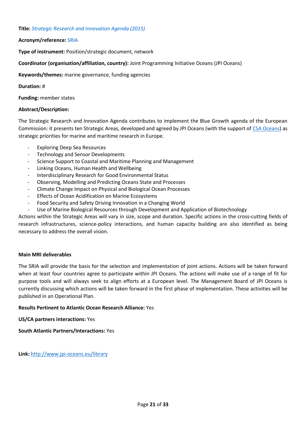## **Title:** *Strategic Research and Innovation Agenda (2015)*

# **Acronym/reference:** SRIA

**Type of instrument:** Position/strategic document, network

# **Coordinator (organisation/affiliation, country):** Joint Programming Initiative Oceans (JPI Oceans)

**Keywords/themes:** marine governance, funding agencies

# **Duration:** #

**Funding:** member states

# **Abstract/Description:**

The Strategic Research and Innovation Agenda contributes to implement the Blue Growth agenda of the European Commission: it presents ten Strategic Areas, developed and agreed by JPI Oceans (with the support o[f CSA Oceans\)](http://jpi-oceans.eu/csa-oceans) as strategic priorities for marine and maritime research in Europe.

- Exploring Deep Sea Resources
- Technology and Sensor Developments
- Science Support to Coastal and Maritime Planning and Management
- Linking Oceans, Human Health and Wellbeing
- Interdisciplinary Research for Good Environmental Status
- Observing, Modelling and Predicting Oceans State and Processes
- Climate Change Impact on Physical and Biological Ocean Processes
- Effects of Ocean Acidification on Marine Ecosystems
- Food Security and Safety Driving Innovation in a Changing World
- Use of Marine Biological Resources through Development and Application of Biotechnology

Actions within the Strategic Areas will vary in size, scope and duration. Specific actions in the cross-cutting fields of research infrastructures, science-policy interactions, and human capacity building are also identified as being necessary to address the overall vision.

## **Main MRI deliverables**

The SRIA will provide the basis for the selection and implementation of joint actions. Actions will be taken forward when at least four countries agree to participate within JPI Oceans. The actions will make use of a range of fit for purpose tools and will always seek to align efforts at a European level. The Management Board of JPI Oceans is currently discussing which actions will be taken forward in the first phase of implementation. These activities will be published in an Operational Plan.

## **Results Pertinent to Atlantic Ocean Research Alliance:** Yes

**US/CA partners interactions:** Yes

**South Atlantic Partners/Interactions:** Yes

**Link:** <http://www.jpi-oceans.eu/library>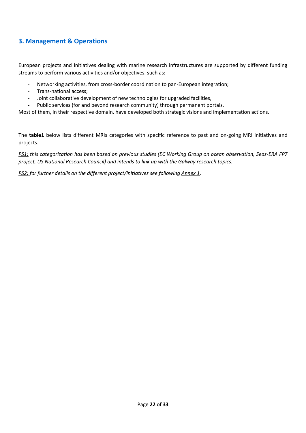# **3. Management & Operations**

European projects and initiatives dealing with marine research infrastructures are supported by different funding streams to perform various activities and/or objectives, such as:

- Networking activities, from cross-border coordination to pan-European integration;
- Trans-national access;
- Joint collaborative development of new technologies for upgraded facilities,
- Public services (for and beyond research community) through permanent portals.

Most of them, in their respective domain, have developed both strategic visions and implementation actions.

The **table1** below lists different MRIs categories with specific reference to past and on-going MRI initiatives and projects.

*PS1: this categorization has been based on previous studies (EC Working Group on ocean observation, Seas-ERA FP7 project, US National Research Council) and intends to link up with the Galway research topics.*

*PS2: for further details on the different project/initiatives see following Annex 1.*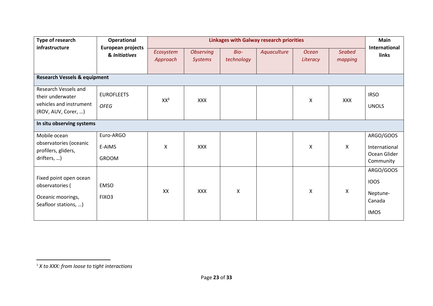| Type of research                                                                           | Operational                               | <b>Linkages with Galway research priorities</b> |                                    |                           |             |                          |                   | <b>Main</b>                                                   |  |
|--------------------------------------------------------------------------------------------|-------------------------------------------|-------------------------------------------------|------------------------------------|---------------------------|-------------|--------------------------|-------------------|---------------------------------------------------------------|--|
| infrastructure                                                                             | <b>European projects</b><br>& Initiatives | Ecosystem<br>Approach                           | <b>Observing</b><br><b>Systems</b> | Bio-<br>technology        | Aquaculture | <b>Ocean</b><br>Literacy | Seabed<br>mapping | International<br>links                                        |  |
| <b>Research Vessels &amp; equipment</b>                                                    |                                           |                                                 |                                    |                           |             |                          |                   |                                                               |  |
| Research Vessels and<br>their underwater<br>vehicles and instrument<br>(ROV, AUV, Corer, ) | <b>EUROFLEETS</b><br><b>OFEG</b>          | XX <sup>1</sup>                                 | <b>XXX</b>                         |                           |             | X                        | <b>XXX</b>        | <b>IRSO</b><br><b>UNOLS</b>                                   |  |
|                                                                                            | In situ observing systems                 |                                                 |                                    |                           |             |                          |                   |                                                               |  |
| Mobile ocean<br>observatories (oceanic<br>profilers, gliders,<br>drifters, )               | Euro-ARGO<br>E-AIMS<br>GROOM              | X                                               | <b>XXX</b>                         |                           |             | X                        | $\mathsf{X}$      | ARGO/GOOS<br>International<br>Ocean Glider<br>Community       |  |
| Fixed point open ocean<br>observatories (<br>Oceanic moorings,<br>Seafloor stations, )     | <b>EMSO</b><br>FIXO3                      | XX                                              | <b>XXX</b>                         | $\boldsymbol{\mathsf{X}}$ |             | X                        | $\mathsf{X}$      | ARGO/GOOS<br><b>IOOS</b><br>Neptune-<br>Canada<br><b>IMOS</b> |  |

 $\overline{a}$ 

<sup>1</sup> *X to XXX: from loose to tight interactions*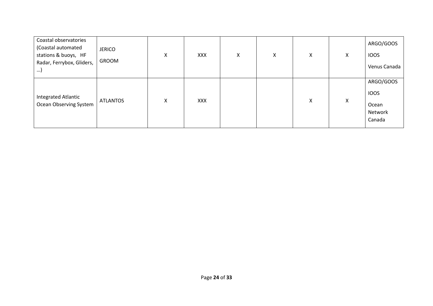| Coastal observatories<br>(Coastal automated | <b>JERICO</b>   |   |            |   |   |   |   | ARGO/GOOS    |
|---------------------------------------------|-----------------|---|------------|---|---|---|---|--------------|
| stations & buoys, HF                        |                 | X | <b>XXX</b> | X | X | X | X | <b>IOOS</b>  |
| Radar, Ferrybox, Gliders,<br>…)             | GROOM           |   |            |   |   |   |   | Venus Canada |
|                                             |                 |   |            |   |   |   |   | ARGO/GOOS    |
| Integrated Atlantic                         |                 |   |            |   |   |   |   | <b>IOOS</b>  |
| Ocean Observing System                      | <b>ATLANTOS</b> | X | <b>XXX</b> |   |   | X | X | Ocean        |
|                                             |                 |   |            |   |   |   |   | Network      |
|                                             |                 |   |            |   |   |   |   | Canada       |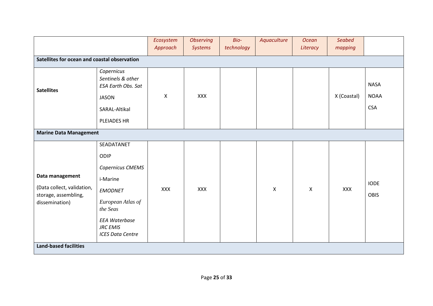|                                                                                         |                                                                                                                                                                             | Ecosystem<br>Approach | <b>Observing</b><br><b>Systems</b> | Bio-<br>technology | Aquaculture | <b>Ocean</b><br>Literacy | <b>Seabed</b><br>mapping |                                          |
|-----------------------------------------------------------------------------------------|-----------------------------------------------------------------------------------------------------------------------------------------------------------------------------|-----------------------|------------------------------------|--------------------|-------------|--------------------------|--------------------------|------------------------------------------|
| Satellites for ocean and coastal observation                                            |                                                                                                                                                                             |                       |                                    |                    |             |                          |                          |                                          |
| <b>Satellites</b>                                                                       | Copernicus<br>Sentinels & other<br><b>ESA Earth Obs. Sat</b><br><b>JASON</b><br>SARAL-Altikal<br>PLEIADES HR                                                                | X                     | XXX                                |                    |             |                          | X (Coastal)              | <b>NASA</b><br><b>NOAA</b><br><b>CSA</b> |
| <b>Marine Data Management</b>                                                           |                                                                                                                                                                             |                       |                                    |                    |             |                          |                          |                                          |
| Data management<br>(Data collect, validation,<br>storage, assembling,<br>dissemination) | SEADATANET<br>ODIP<br>Copernicus CMEMS<br>i-Marine<br><b>EMODNET</b><br>European Atlas of<br>the Seas<br><b>EEA Waterbase</b><br><b>JRC EMIS</b><br><b>ICES Data Centre</b> | <b>XXX</b>            | XXX                                |                    | X           | X                        | <b>XXX</b>               | <b>IODE</b><br>OBIS                      |
| <b>Land-based facilities</b>                                                            |                                                                                                                                                                             |                       |                                    |                    |             |                          |                          |                                          |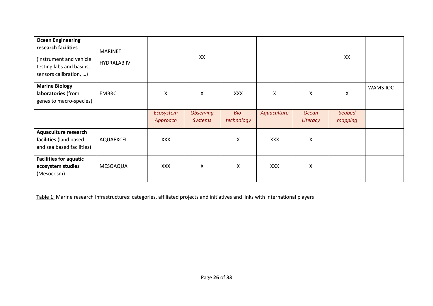| <b>Ocean Engineering</b><br>research facilities<br>(instrument and vehicle<br>testing labs and basins,<br>sensors calibration, ) | <b>MARINET</b><br><b>HYDRALAB IV</b> |                       | XX                                 |                    |             |                          | XX                       |          |
|----------------------------------------------------------------------------------------------------------------------------------|--------------------------------------|-----------------------|------------------------------------|--------------------|-------------|--------------------------|--------------------------|----------|
| <b>Marine Biology</b><br>laboratories (from<br>genes to macro-species)                                                           | <b>EMBRC</b>                         | X                     | X                                  | <b>XXX</b>         | X           | X                        | Χ                        | WAMS-IOC |
|                                                                                                                                  |                                      | Ecosystem<br>Approach | <b>Observing</b><br><b>Systems</b> | Bio-<br>technology | Aquaculture | <b>Ocean</b><br>Literacy | <b>Seabed</b><br>mapping |          |
| <b>Aquaculture research</b><br>facilities (land based<br>and sea based facilities)                                               | AQUAEXCEL                            | <b>XXX</b>            |                                    | X                  | <b>XXX</b>  | X                        |                          |          |
| <b>Facilities for aquatic</b><br>ecosystem studies<br>(Mesocosm)                                                                 | MESOAQUA                             | <b>XXX</b>            | X                                  | X                  | <b>XXX</b>  | X                        |                          |          |

Table 1: Marine research Infrastructures: categories, affiliated projects and initiatives and links with international players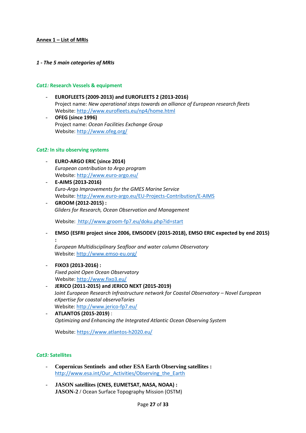# **Annex 1 – List of MRIs**

## *1 - The 5 main categories of MRIs*

# *Cat1:* **Research Vessels & equipment**

- **EUROFLEETS (2009-2013) and EUROFLEETS 2 (2013-2016)** Project name: *New operational steps towards an alliance of European research fleets* Website:<http://www.eurofleets.eu/np4/home.html>
- **OFEG (since 1996)** Project name: *Ocean Facilities Exchange Group* Website:<http://www.ofeg.org/>

## *Cat2:* **In situ observing systems**

- **EURO-ARGO ERIC (since 2014)**  *European contribution to Argo program* Website:<http://www.euro-argo.eu/>
- **E-AIMS (2013-2016)** *Euro-Argo Improvements for the GMES Marine Service* Website:<http://www.euro-argo.eu/EU-Projects-Contribution/E-AIMS>
- **GROOM (2012-2015) :** *Gliders for Research, Ocean Observation and Management*

Website: [http://www.groom-fp7.eu/doku.php?id=start](http://www.euro-argo.eu/)

- **EMSO (ESFRI project since 2006, EMSODEV (2015-2018), EMSO ERIC expected by end 2015) :** 

*European Multidisciplinary Seafloor and water column Observatory* Website[: http://www.emso-eu.org/](http://www.emso-eu.org/)

## - **FIXO3 (2013-2016) :**

*Fixed point Open Ocean Observatory* Website:<http://www.fixo3.eu/>

- **JERICO (2011-2015) and JERICO NEXT (2015-2019)**  *Joint European Research Infrastructure network for Coastal Observatory - Novel European eXpertise for coastal observaTories* Website[: http://www.jerico-fp7.eu/](http://www.jerico-fp7.eu/)
- **ATLANTOS (2015-2019)** : *Optimizing and Enhancing the Integrated Atlantic Ocean Observing System*

Website:<https://www.atlantos-h2020.eu/>

## *Cat3:* **Satellites**

- **Copernicus Sentinels and other ESA Earth Observing satellites :**  [http://www.esa.int/Our\\_Activities/Observing\\_the\\_Earth](http://www.esa.int/Our_Activities/Observing_the_Earth)
- **JASON satellites (CNES, EUMETSAT, NASA, NOAA) : JASON-2 /** Ocean Surface Topography Mission (OSTM)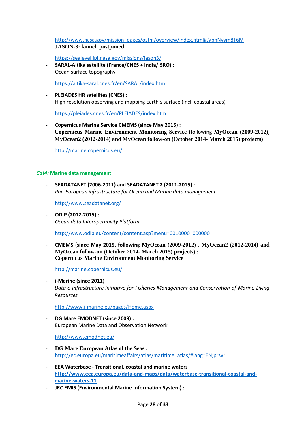[http://www.nasa.gov/mission\\_pages/ostm/overview/index.html#.VbnNyvm8T6M](http://www.nasa.gov/mission_pages/ostm/overview/index.html#.VbnNyvm8T6M) **JASON-3: launch postponed**

<https://sealevel.jpl.nasa.gov/missions/jason3/>

- **SARAL-Altika satellite (France/CNES + India/ISRO) :** Ocean surface topography

<https://altika-saral.cnes.fr/en/SARAL/index.htm>

- **PLEIADES HR satellites (CNES) :**  High resolution observing and mapping Earth's surface (incl. coastal areas)

<https://pleiades.cnes.fr/en/PLEIADES/index.htm>

- **Copernicus Marine Service CMEMS (since May 2015) : Copernicus Marine Environment Monitoring Service** (following **MyOcean (2009-2012), MyOcean2 (2012-2014) and MyOcean follow-on (October 2014- March 2015) projects)**

<http://marine.copernicus.eu/>

#### *Cat4:* **Marine data management**

- **SEADATANET (2006-2011) and SEADATANET 2 (2011-2015) :**  *Pan-European infrastructure for Ocean and Marine data management*

<http://www.seadatanet.org/>

- **ODIP (2012-2015) :**  *Ocean data Interoperability Platform*

[http://www.odip.eu/content/content.asp?menu=0010000\\_000000](http://www.odip.eu/content/content.asp?menu=0010000_000000%20)

- **CMEMS (since May 2015, following MyOcean (2009-2012) , MyOcean2 (2012-2014) and MyOcean follow-on (October 2014- March 2015) projects) : Copernicus Marine Environment Monitoring Service**

<http://marine.copernicus.eu/>

- **i-Marine (since 2011)** *Data e-Infrastructure Initiative for Fisheries Management and Conservation of Marine Living Resources*

<http://www.i-marine.eu/pages/Home.aspx>

- **DG Mare EMODNET (since 2009) :**  European Marine Data and Observation Network

<http://www.emodnet.eu/>

- **DG Mare European Atlas of the Seas :** [http://ec.europa.eu/maritimeaffairs/atlas/maritime\\_atlas/#lang=EN;p=w;](http://ec.europa.eu/maritimeaffairs/atlas/maritime_atlas/#lang=EN;p=w)
- **EEA Waterbase - Transitional, coastal and marine waters [http://www.eea.europa.eu/data-and-maps/data/waterbase-transitional-coastal-and](http://www.eea.europa.eu/data-and-maps/data/waterbase-transitional-coastal-and-marine-waters-11)[marine-waters-11](http://www.eea.europa.eu/data-and-maps/data/waterbase-transitional-coastal-and-marine-waters-11)**
- **JRC EMIS (Environmental Marine Information System) :**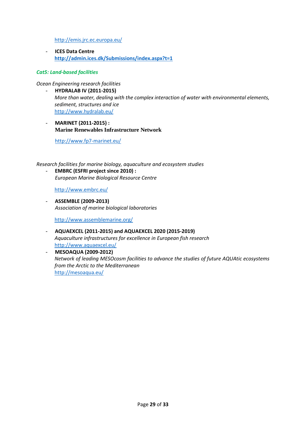<http://emis.jrc.ec.europa.eu/>

- **ICES Data Centre <http://admin.ices.dk/Submissions/index.aspx?t=1>**

#### *Cat5: Land-based facilities*

#### *Ocean Engineering research facilities*

- **HYDRALAB IV (2011-2015)** *More than water, dealing with the complex interaction of water with environmental elements, sediment, structures and ice* <http://www.hydralab.eu/>
- **MARINET (2011-2015) : Marine Renewables Infrastructure Network**

<http://www.fp7-marinet.eu/>

*Research facilities for marine biology, aquaculture and ecosystem studies*

- **EMBRC (ESFRI project since 2010) :** *European Marine Biological Resource Centre*

<http://www.embrc.eu/>

- **ASSEMBLE (2009-2013)** *Association of marine biological laboratories*

<http://www.assemblemarine.org/>

- **AQUAEXCEL (2011-2015) and AQUAEXCEL 2020 (2015-2019)** *Aquaculture infrastructures for excellence in European fish research* <http://www.aquaexcel.eu/>
- **MESOAQUA (2009-2012)** *Network of leading MESOcosm facilities to advance the studies of future AQUAtic ecosystems from the Arctic to the Mediterranean*  <http://mesoaqua.eu/>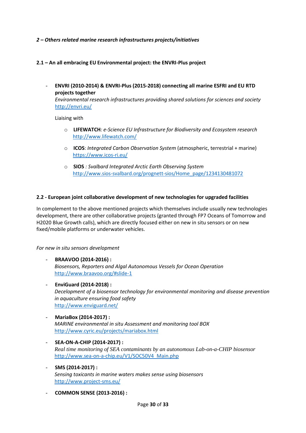# *2 – Others related marine research infrastructures projects/initiatives*

- **2.1 – An all embracing EU Environmental project: the ENVRI-Plus project**
	- **ENVRI (2010-2014) & ENVRI-Plus (2015-2018) connecting all marine ESFRI and EU RTD projects together**

*Environmental research infrastructures providing shared solutions for sciences and society* <http://envri.eu/>

Liaising with

- o **LIFEWATCH***: e-Science EU Infrastructure for Biodiversity and Ecosystem research*  <http://www.lifewatch.com/>
- o **ICOS**: *Integrated Carbon Observation System* (atmospheric, terrestrial + marine) <https://www.icos-ri.eu/>
- o **SIOS** *: Svalbard Integrated Arctic Earth Observing System* [http://www.sios-svalbard.org/prognett-sios/Home\\_page/1234130481072](http://www.sios-svalbard.org/prognett-sios/Home_page/1234130481072)

# **2.2 - European joint collaborative development of new technologies for upgraded facilities**

In complement to the above mentioned projects which themselves include usually new technologies development, there are other collaborative projects (granted through FP7 Oceans of Tomorrow and H2020 Blue Growth calls), which are directly focused either on new in situ sensors or on new fixed/mobile platforms or underwater vehicles.

## *For new in situ sensors development*

- **BRAAVOO (2014-2016) :** *Biosensors, Reporters and Algal Autonomous Vessels for Ocean Operation* <http://www.braavoo.org/#slide-1>
- **EnviGuard (2014-2018) :** *Decelopment of a biosensor technology for environmental monitoring and disease prevention in aquaculture ensuring food safety* <http://www.enviguard.net/>
- **MariaBox (2014-2017) :** *MARINE environmental in situ Assessment and monitoring tool BOX* <http://www.cyric.eu/projects/mariabox.html>
- **SEA-ON-A-CHIP (2014-2017) :** *Real time monitoring of SEA contaminants by an autonomous Lab-on-a-CHIP biosensor* [http://www.sea-on-a-chip.eu/V1/SOC50V4\\_Main.php](http://www.sea-on-a-chip.eu/V1/SOC50V4_Main.php)
- **SMS (2014-2017) :** *Sensing toxicants in marine waters makes sense using biosensors* <http://www.project-sms.eu/>

- **COMMON SENSE (2013-2016) :**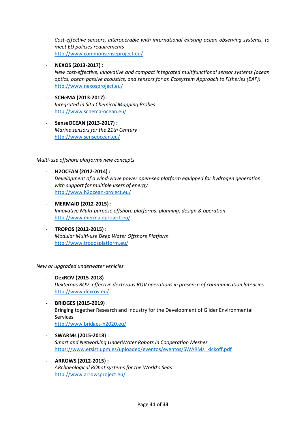*Cost-effective sensors, interoperable with international existing ocean observing systems, to meet EU policies requirements* <http://www.commonsenseproject.eu/>

- **NEXOS (2013-2017) :** *New cost-effective, innovative and compact integrated multifunctional sensor systems (ocean optics, ocean passive acoustics, and sensors for an Ecosystem Approach to Fisheries (EAF))* <http://www.nexosproject.eu/>
- **SCHeMA (2013-2017) :** *Integrated in Situ Chemical Mapping Probes* <http://www.schema-ocean.eu/>
- **SenseOCEAN (2013-2017) :** *Marine sensors for the 21th Century* <http://www.senseocean.eu/>

# *Multi-use offshore platforms new concepts*

- **H2OCEAN (2012-2014) :** *Development of a wind-wave power open-sea platform equipped for hydrogen generation with support for multiple users of energy* <http://www.h2ocean-project.eu/>
- **MERMAID (2012-2015) :** *Innovative Multi-purpose offshore platforms: planning, design & operation* <http://www.mermaidproject.eu/>
- **TROPOS (2012-2015) :** *Modular Multi-use Deep Water Offshore Platform* <http://www.troposplatform.eu/>

## *New or upgraded underwater vehicles*

- **DexROV (2015-2018)** *Dexterous ROV: effective dexterous ROV operations in presence of communication latencies.* <http://www.dexrov.eu/>
- **BRIDGES (2015-2019)** : Bringing together Research and Industry for the Development of Glider Environmental Services <http://www.bridges-h2020.eu/>
- **SWARMs (2015-2018)** : *Smart and Networking UnderWAter Robots in Cooperation Meshes* [https://www.etsist.upm.es/uploaded/eventos/eventos/SWARMs\\_kickoff.pdf](https://www.etsist.upm.es/uploaded/eventos/eventos/SWARMs_kickoff.pdf)
- **ARROWS (2012-2015) :** *ARchaeological RObot systems for the World's Seas*  <http://www.arrowsproject.eu/>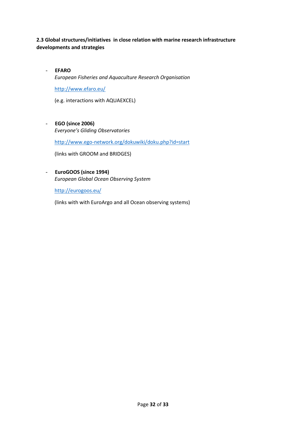# **2.3 Global structures/initiatives in close relation with marine research infrastructure developments and strategies**

- **EFARO** *European Fisheries and Aquaculture Research Organisation* <http://www.efaro.eu/>

(e.g. interactions with AQUAEXCEL)

- **EGO (since 2006)** *Everyone's Gliding Observatories*

[http://www.ego-network.org/dokuwiki/doku.php?id=start](http://www.ervo-group.eu/np4/home.html)

(links with GROOM and BRIDGES)

- **EuroGOOS (since 1994)** *European Global Ocean Observing System* 

<http://eurogoos.eu/>

(links with with EuroArgo and all Ocean observing systems)